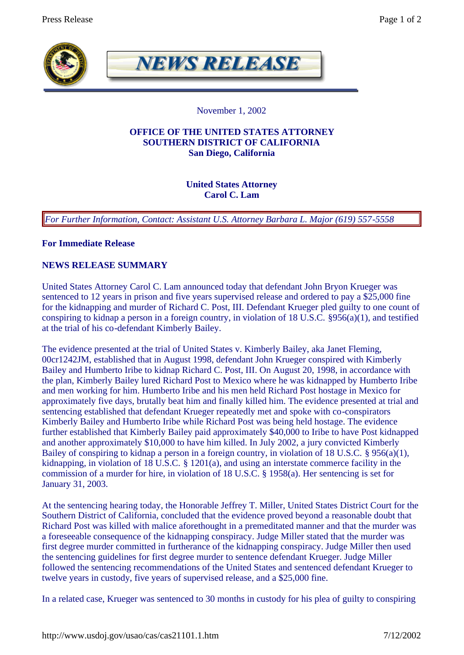

**NEWS RELEASE** 

November 1, 2002

### **OFFICE OF THE UNITED STATES ATTORNEY SOUTHERN DISTRICT OF CALIFORNIA San Diego, California**

# **United States Attorney Carol C. Lam**

*For Further Information, Contact: Assistant U.S. Attorney Barbara L. Major (619) 557-5558*

**For Immediate Release**

## **NEWS RELEASE SUMMARY**

United States Attorney Carol C. Lam announced today that defendant John Bryon Krueger was sentenced to 12 years in prison and five years supervised release and ordered to pay a \$25,000 fine for the kidnapping and murder of Richard C. Post, III. Defendant Krueger pled guilty to one count of conspiring to kidnap a person in a foreign country, in violation of 18 U.S.C. §956(a)(1), and testified at the trial of his co-defendant Kimberly Bailey.

The evidence presented at the trial of United States v. Kimberly Bailey, aka Janet Fleming, 00cr1242JM, established that in August 1998, defendant John Krueger conspired with Kimberly Bailey and Humberto Iribe to kidnap Richard C. Post, III. On August 20, 1998, in accordance with the plan, Kimberly Bailey lured Richard Post to Mexico where he was kidnapped by Humberto Iribe and men working for him. Humberto Iribe and his men held Richard Post hostage in Mexico for approximately five days, brutally beat him and finally killed him. The evidence presented at trial and sentencing established that defendant Krueger repeatedly met and spoke with co-conspirators Kimberly Bailey and Humberto Iribe while Richard Post was being held hostage. The evidence further established that Kimberly Bailey paid approximately \$40,000 to Iribe to have Post kidnapped and another approximately \$10,000 to have him killed. In July 2002, a jury convicted Kimberly Bailey of conspiring to kidnap a person in a foreign country, in violation of 18 U.S.C. § 956(a)(1), kidnapping, in violation of 18 U.S.C. § 1201(a), and using an interstate commerce facility in the commission of a murder for hire, in violation of 18 U.S.C. § 1958(a). Her sentencing is set for January 31, 2003.

At the sentencing hearing today, the Honorable Jeffrey T. Miller, United States District Court for the Southern District of California, concluded that the evidence proved beyond a reasonable doubt that Richard Post was killed with malice aforethought in a premeditated manner and that the murder was a foreseeable consequence of the kidnapping conspiracy. Judge Miller stated that the murder was first degree murder committed in furtherance of the kidnapping conspiracy. Judge Miller then used the sentencing guidelines for first degree murder to sentence defendant Krueger. Judge Miller followed the sentencing recommendations of the United States and sentenced defendant Krueger to twelve years in custody, five years of supervised release, and a \$25,000 fine.

In a related case, Krueger was sentenced to 30 months in custody for his plea of guilty to conspiring